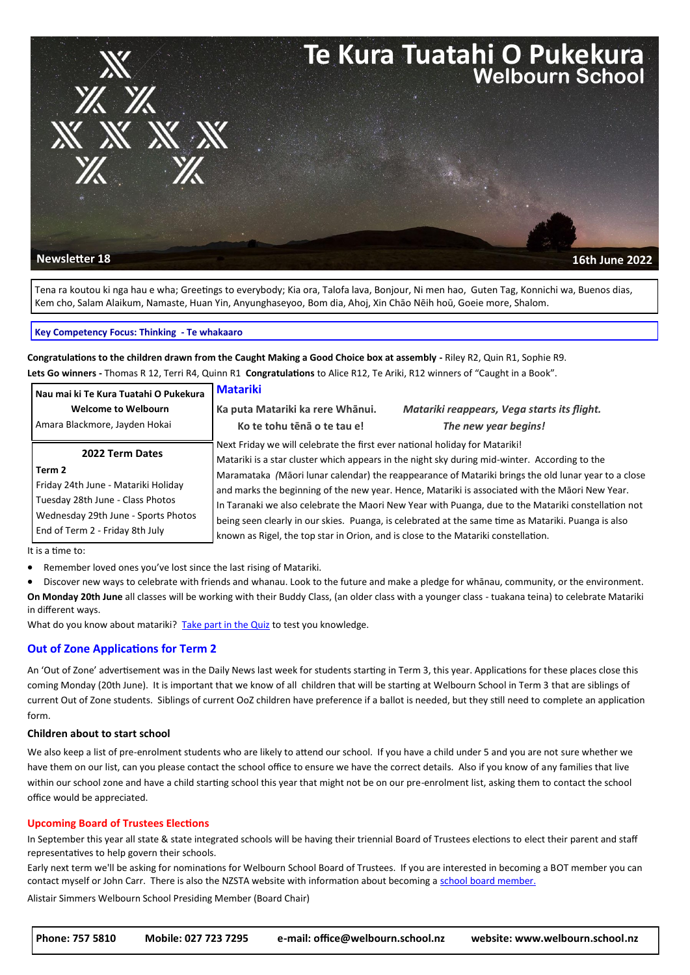

Tena ra koutou ki nga hau e wha; Greetings to everybody; Kia ora, Talofa lava, Bonjour, Ni men hao, Guten Tag, Konnichi wa, Buenos dias, Kem cho, Salam Alaikum, Namaste, Huan Yin, Anyunghaseyoo, Bom dia, Ahoj, Xin Chāo Nēih hoū, Goeie more, Shalom.

#### **Key Competency Focus: Thinking - Te whakaaro**

**Congratulations to the children drawn from the Caught Making a Good Choice box at assembly -** Riley R2, Quin R1, Sophie R9. **Lets Go winners -** Thomas R 12, Terri R4, Quinn R1 **Congratulations** to Alice R12, Te Ariki, R12 winners of "Caught in a Book".

| Nau mai ki Te Kura Tuatahi O Pukekura                                                                                                       | <b>Matariki</b>                                                                                                                                                                                                                                                                                                                                                                                                                                                                                                                                                                                      |                                                                     |  |
|---------------------------------------------------------------------------------------------------------------------------------------------|------------------------------------------------------------------------------------------------------------------------------------------------------------------------------------------------------------------------------------------------------------------------------------------------------------------------------------------------------------------------------------------------------------------------------------------------------------------------------------------------------------------------------------------------------------------------------------------------------|---------------------------------------------------------------------|--|
| <b>Welcome to Welbourn</b><br>Amara Blackmore, Jayden Hokai                                                                                 | Ka puta Matariki ka rere Whānui.<br>Ko te tohu tēnā o te tau e!                                                                                                                                                                                                                                                                                                                                                                                                                                                                                                                                      | Matariki reappears, Vega starts its flight.<br>The new year begins! |  |
| 2022 Term Dates<br>Term 2<br>Friday 24th June - Matariki Holiday<br>Tuesday 28th June - Class Photos<br>Wednesday 29th June - Sports Photos | Next Friday we will celebrate the first ever national holiday for Matariki!<br>Matariki is a star cluster which appears in the night sky during mid-winter. According to the<br>Maramataka (Māori lunar calendar) the reappearance of Matariki brings the old lunar year to a close<br>and marks the beginning of the new year. Hence, Matariki is associated with the Māori New Year.<br>In Taranaki we also celebrate the Maori New Year with Puanga, due to the Matariki constellation not<br>being seen clearly in our skies. Puanga, is celebrated at the same time as Matariki. Puanga is also |                                                                     |  |
| End of Term 2 - Friday 8th July                                                                                                             | known as Rigel, the top star in Orion, and is close to the Matariki constellation.                                                                                                                                                                                                                                                                                                                                                                                                                                                                                                                   |                                                                     |  |

It is a time to:

Remember loved ones you've lost since the last rising of Matariki.

 Discover new ways to celebrate with friends and whanau. Look to the future and make a pledge for whānau, community, or the environment. **On Monday 20th June** all classes will be working with their Buddy Class, (an older class with a younger class - tuakana teina) to celebrate Matariki in different ways.

What do you know about matariki? [Take part in the Quiz](https://www.tepapa.govt.nz/discover-collections/read-watch-play/maori/matariki-maori-new-year/quiz-how-much-do-you-know-about) to test you knowledge.

### **Out of Zone Applications for Term 2**

An 'Out of Zone' advertisement was in the Daily News last week for students starting in Term 3, this year. Applications for these places close this coming Monday (20th June). It is important that we know of all children that will be starting at Welbourn School in Term 3 that are siblings of current Out of Zone students. Siblings of current OoZ children have preference if a ballot is needed, but they still need to complete an application form.

### **Children about to start school**

We also keep a list of pre-enrolment students who are likely to attend our school. If you have a child under 5 and you are not sure whether we have them on our list, can you please contact the school office to ensure we have the correct details. Also if you know of any families that live within our school zone and have a child starting school this year that might not be on our pre-enrolment list, asking them to contact the school office would be appreciated.

### **Upcoming Board of Trustees Elections**

In September this year all state & state integrated schools will be having their triennial Board of Trustees elections to elect their parent and staff representatives to help govern their schools.

Early next term we'll be asking for nominations for Welbourn School Board of Trustees. If you are interested in becoming a BOT member you can contact myself or John Carr. There is also the NZSTA website with information about becoming a [school board member.](https://www.schoolboardelections.org.nz/becoming-a-board-member/) 

Alistair Simmers Welbourn School Presiding Member (Board Chair)